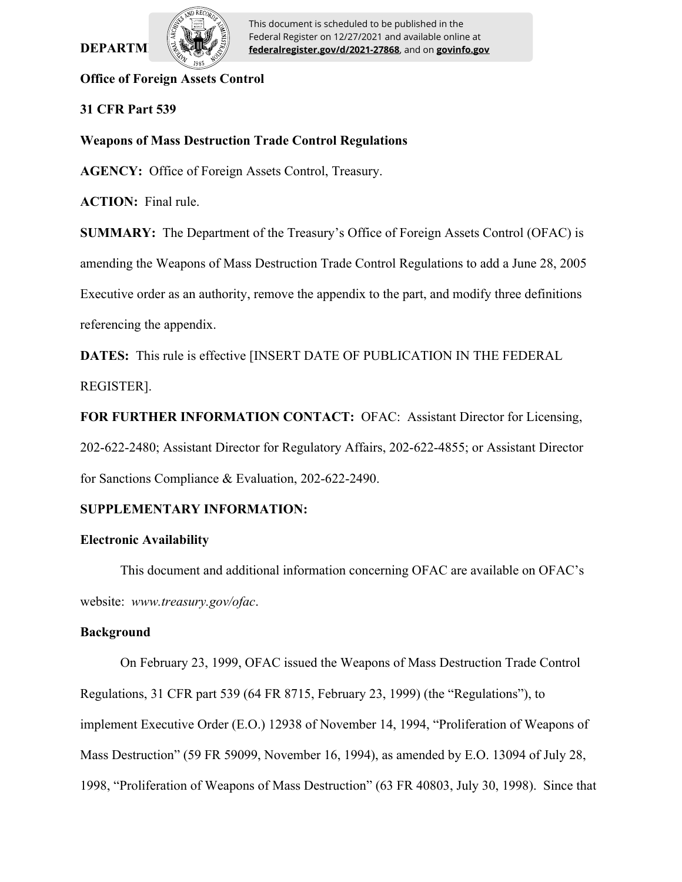# **DEPARTM**



This document is scheduled to be published in the Federal Register on 12/27/2021 and available online at **federalregister.gov/d/2021-27868**, and on **govinfo.gov**

### **Office of Foreign Assets Control**

## **31 CFR Part 539**

## **Weapons of Mass Destruction Trade Control Regulations**

**AGENCY:** Office of Foreign Assets Control, Treasury.

**ACTION:** Final rule.

**SUMMARY:** The Department of the Treasury's Office of Foreign Assets Control (OFAC) is amending the Weapons of Mass Destruction Trade Control Regulations to add a June 28, 2005 Executive order as an authority, remove the appendix to the part, and modify three definitions referencing the appendix.

**DATES:** This rule is effective [INSERT DATE OF PUBLICATION IN THE FEDERAL REGISTER].

**FOR FURTHER INFORMATION CONTACT:** OFAC: Assistant Director for Licensing, 202-622-2480; Assistant Director for Regulatory Affairs, 202-622-4855; or Assistant Director for Sanctions Compliance & Evaluation, 202-622-2490.

## **SUPPLEMENTARY INFORMATION:**

## **Electronic Availability**

This document and additional information concerning OFAC are available on OFAC's website: *www.treasury.gov/ofac*.

## **Background**

On February 23, 1999, OFAC issued the Weapons of Mass Destruction Trade Control Regulations, 31 CFR part 539 (64 FR 8715, February 23, 1999) (the "Regulations"), to implement Executive Order (E.O.) 12938 of November 14, 1994, "Proliferation of Weapons of Mass Destruction" (59 FR 59099, November 16, 1994), as amended by E.O. 13094 of July 28, 1998, "Proliferation of Weapons of Mass Destruction" (63 FR 40803, July 30, 1998). Since that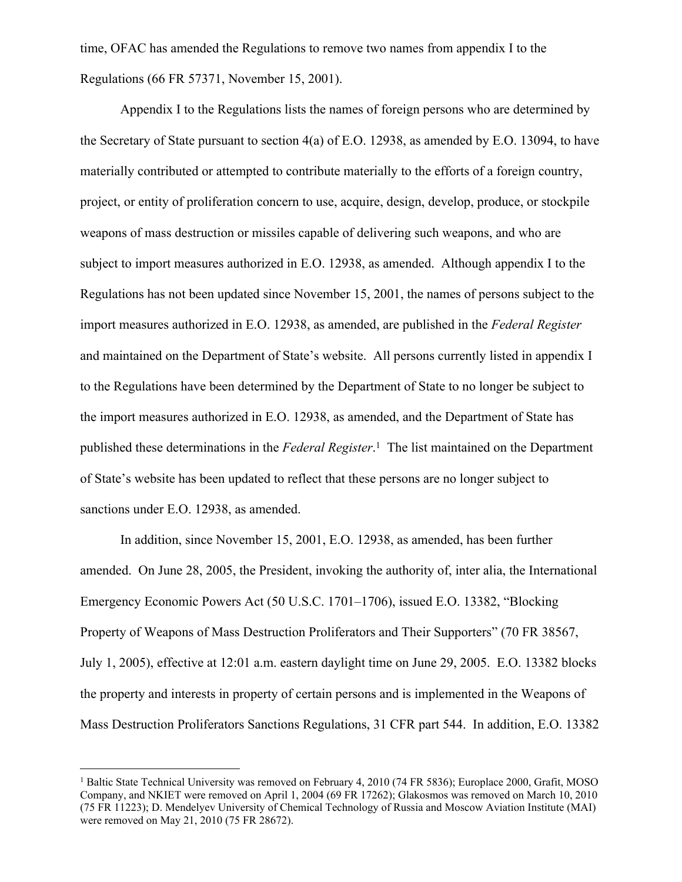time, OFAC has amended the Regulations to remove two names from appendix I to the Regulations (66 FR 57371, November 15, 2001).

Appendix I to the Regulations lists the names of foreign persons who are determined by the Secretary of State pursuant to section 4(a) of E.O. 12938, as amended by E.O. 13094, to have materially contributed or attempted to contribute materially to the efforts of a foreign country, project, or entity of proliferation concern to use, acquire, design, develop, produce, or stockpile weapons of mass destruction or missiles capable of delivering such weapons, and who are subject to import measures authorized in E.O. 12938, as amended. Although appendix I to the Regulations has not been updated since November 15, 2001, the names of persons subject to the import measures authorized in E.O. 12938, as amended, are published in the *Federal Register*  and maintained on the Department of State's website. All persons currently listed in appendix I to the Regulations have been determined by the Department of State to no longer be subject to the import measures authorized in E.O. 12938, as amended, and the Department of State has published these determinations in the *Federal Register*. 1 The list maintained on the Department of State's website has been updated to reflect that these persons are no longer subject to sanctions under E.O. 12938, as amended.

In addition, since November 15, 2001, E.O. 12938, as amended, has been further amended. On June 28, 2005, the President, invoking the authority of, inter alia, the International Emergency Economic Powers Act (50 U.S.C. 1701–1706), issued E.O. 13382, "Blocking Property of Weapons of Mass Destruction Proliferators and Their Supporters" (70 FR 38567, July 1, 2005), effective at 12:01 a.m. eastern daylight time on June 29, 2005. E.O. 13382 blocks the property and interests in property of certain persons and is implemented in the Weapons of Mass Destruction Proliferators Sanctions Regulations, 31 CFR part 544. In addition, E.O. 13382

<sup>&</sup>lt;sup>1</sup> Baltic State Technical University was removed on February 4, 2010 (74 FR 5836); Europlace 2000, Grafit, MOSO Company, and NKIET were removed on April 1, 2004 (69 FR 17262); Glakosmos was removed on March 10, 2010 (75 FR 11223); D. Mendelyev University of Chemical Technology of Russia and Moscow Aviation Institute (MAI) were removed on May 21, 2010 (75 FR 28672).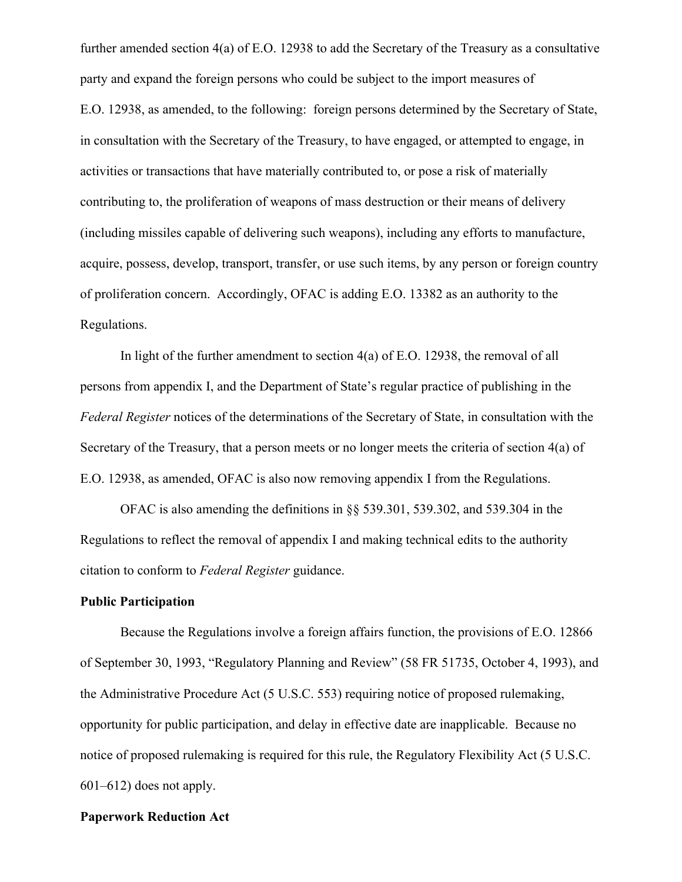further amended section 4(a) of E.O. 12938 to add the Secretary of the Treasury as a consultative party and expand the foreign persons who could be subject to the import measures of E.O. 12938, as amended, to the following: foreign persons determined by the Secretary of State, in consultation with the Secretary of the Treasury, to have engaged, or attempted to engage, in activities or transactions that have materially contributed to, or pose a risk of materially contributing to, the proliferation of weapons of mass destruction or their means of delivery (including missiles capable of delivering such weapons), including any efforts to manufacture, acquire, possess, develop, transport, transfer, or use such items, by any person or foreign country of proliferation concern. Accordingly, OFAC is adding E.O. 13382 as an authority to the Regulations.

In light of the further amendment to section 4(a) of E.O. 12938, the removal of all persons from appendix I, and the Department of State's regular practice of publishing in the *Federal Register* notices of the determinations of the Secretary of State, in consultation with the Secretary of the Treasury, that a person meets or no longer meets the criteria of section 4(a) of E.O. 12938, as amended, OFAC is also now removing appendix I from the Regulations.

OFAC is also amending the definitions in §§ 539.301, 539.302, and 539.304 in the Regulations to reflect the removal of appendix I and making technical edits to the authority citation to conform to *Federal Register* guidance.

#### **Public Participation**

Because the Regulations involve a foreign affairs function, the provisions of E.O. 12866 of September 30, 1993, "Regulatory Planning and Review" (58 FR 51735, October 4, 1993), and the Administrative Procedure Act (5 U.S.C. 553) requiring notice of proposed rulemaking, opportunity for public participation, and delay in effective date are inapplicable. Because no notice of proposed rulemaking is required for this rule, the Regulatory Flexibility Act (5 U.S.C. 601–612) does not apply.

#### **Paperwork Reduction Act**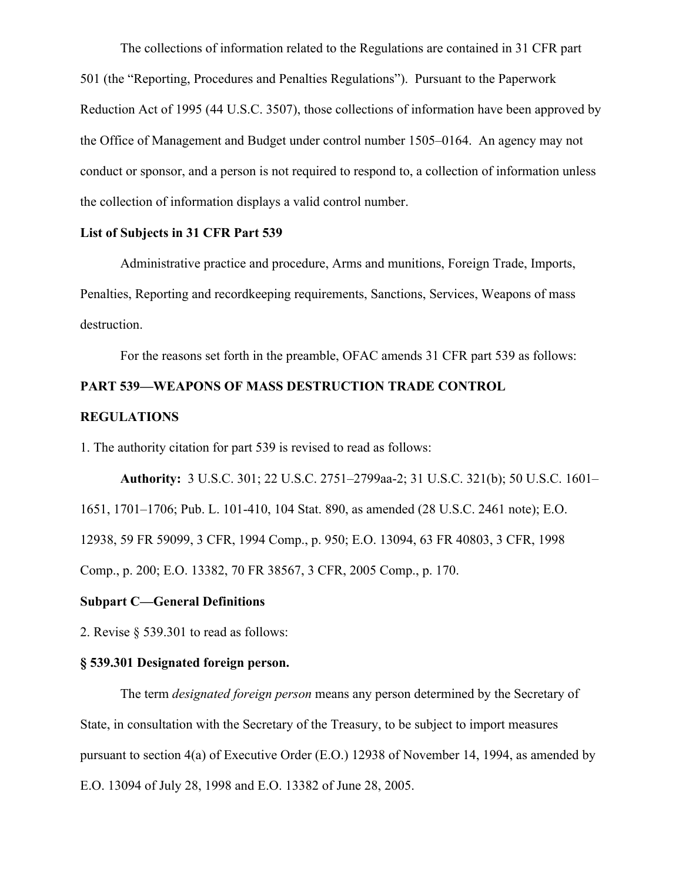The collections of information related to the Regulations are contained in 31 CFR part 501 (the "Reporting, Procedures and Penalties Regulations"). Pursuant to the Paperwork Reduction Act of 1995 (44 U.S.C. 3507), those collections of information have been approved by the Office of Management and Budget under control number 1505–0164. An agency may not conduct or sponsor, and a person is not required to respond to, a collection of information unless the collection of information displays a valid control number.

#### **List of Subjects in 31 CFR Part 539**

Administrative practice and procedure, Arms and munitions, Foreign Trade, Imports, Penalties, Reporting and recordkeeping requirements, Sanctions, Services, Weapons of mass destruction.

For the reasons set forth in the preamble, OFAC amends 31 CFR part 539 as follows:

## **PART 539—WEAPONS OF MASS DESTRUCTION TRADE CONTROL**

#### **REGULATIONS**

1. The authority citation for part 539 is revised to read as follows:

**Authority:** 3 U.S.C. 301; 22 U.S.C. 2751–2799aa-2; 31 U.S.C. 321(b); 50 U.S.C. 1601–

1651, 1701–1706; Pub. L. 101-410, 104 Stat. 890, as amended (28 U.S.C. 2461 note); E.O.

12938, 59 FR 59099, 3 CFR, 1994 Comp., p. 950; E.O. 13094, 63 FR 40803, 3 CFR, 1998

Comp., p. 200; E.O. 13382, 70 FR 38567, 3 CFR, 2005 Comp., p. 170.

#### **Subpart C—General Definitions**

2. Revise § 539.301 to read as follows:

#### **§ 539.301 Designated foreign person.**

The term *designated foreign person* means any person determined by the Secretary of State, in consultation with the Secretary of the Treasury, to be subject to import measures pursuant to section 4(a) of Executive Order (E.O.) 12938 of November 14, 1994, as amended by E.O. 13094 of July 28, 1998 and E.O. 13382 of June 28, 2005.